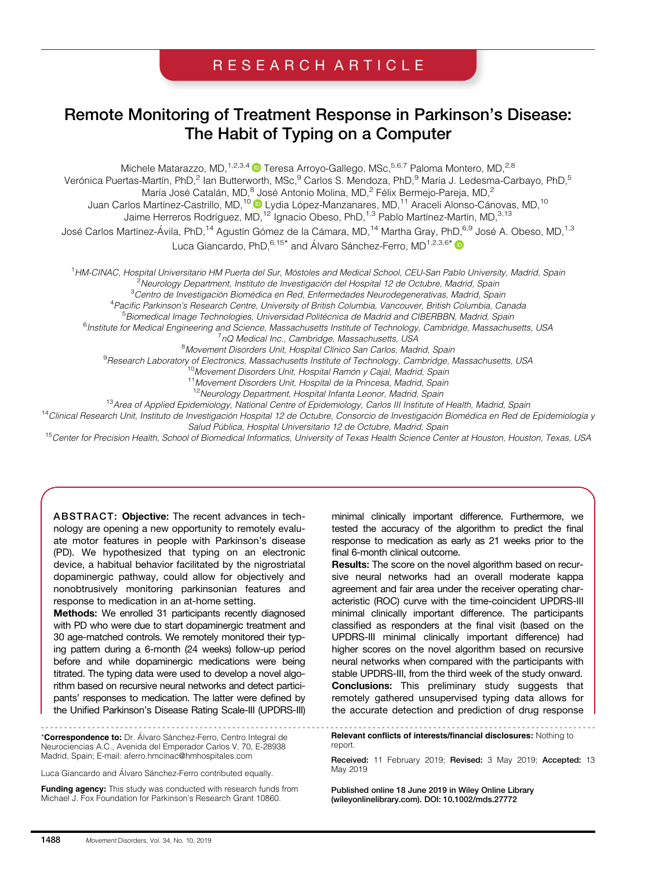# RESEARCH ARTICLE

# Remote Monitoring of Treatment Response in Parkinson's Disease: The Habit of Typing on a Computer

Michele Matarazzo, MD,<sup>1,2,3,4</sup> <sup>D</sup> Teresa Arroyo-Gallego, MSc,<sup>5,6,7</sup> Paloma Montero, MD,<sup>2,8</sup> Verónica Puertas-Martín, PhD,<sup>2</sup> Ian Butterworth, MSc,<sup>9</sup> Carlos S. Mendoza, PhD,<sup>9</sup> María J. Ledesma-Carbayo, PhD,<sup>5</sup> María José Catalán, MD,<sup>8</sup> José Antonio Molina, MD,<sup>2</sup> Félix Bermejo-Pareja, MD,<sup>2</sup> Juan Carlos Martínez-Castrillo, MD,<sup>10</sup> © Lydia López-Manzanares, MD,<sup>11</sup> Araceli Alonso-Cánovas, MD,<sup>10</sup> Jaime Herreros Rodríguez, MD,<sup>12</sup> Ignacio Obeso, PhD,<sup>1,3</sup> Pablo Martínez-Martín, MD,<sup>3,13</sup> José Carlos Martínez-Ávila, PhD, <sup>14</sup> Agustín Gómez de la Cámara, MD, <sup>14</sup> Martha Gray, PhD, <sup>6,9</sup> José A. Obeso, MD, <sup>1,3</sup> Luca Giancardo, PhD, 6,15<sup>\*</sup> and Álvaro Sánchez-Ferro, MD<sup>1,2,3,6\*</sup>

<sup>1</sup> HM-CINAC, Hospital Universitario HM Puerta del Sur, Móstoles and Medical School, CEU-San Pablo University, Madrid, Spain <sup>2</sup>Neurology Department, Instituto de Investigación del Hospital 12 de Octubre, Madrid, Spain Neurology Department, Instituto de Investigación del Hospital 12 de Octubre, Madrid, Spain <sup>3</sup> Centro de Investigación Biomédica en Red, Enfermedades Neurodegenerativas, Madrid, Spain 4 Pacific Parkinson's Research Centre, University of British Columbia, Vancouver, British Columbia, Canada

<sup>5</sup> Biomedical Image Technologies, Universidad Politécnica de Madrid and CIBERBBN, Madrid, Spair

<sup>6</sup>Institute for Medical Engineering and Science, Massachusetts Institute of Technology, Cambridge, Massachusetts, USA

<sup>7</sup>nQ Medical Inc., Cambridge, Massachusetts, USA

nQ Medical Inc., Cambridge, Massachusetts, USA 'n Q Medical Inc., Cambridge, Massachusetts, USA ''<br><sup>8</sup>Movement Disorders Unit, Hospital Clínico San Carlos, Madrid, Spain

<sup>9</sup> Research Laboratory of Electronics, Massachusetts Institute of Technology, Cambridge, Massachusetts, USA

<sup>10</sup>Movement Disorders Unit, Hospital Ramón y Cajal, Madrid, Spain

<sup>11</sup> Movement Disorders Unit, Hospital de la Princesa, Madrid, Spain<br><sup>12</sup> Neurology Department, Hospital Infanta Leonor, Madrid, Spain

<sup>13</sup>Area of Applied Epidemiology, National Centre of Epidemiology, Carlos III Institute of Health, Madrid, Spain

<sup>14</sup>Clinical Research Unit, Instituto de Investigación Hospital 12 de Octubre, Consorcio de Investigación Biomédica en Red de Epidemiología y

Salud Pública, Hospital Universitario 12 de Octubre, Madrid, Spain 15Center for Precision Health, School of Biomedical Informatics, University of Texas Health Science Center at Houston, Houston, Texas, USA

ABSTRACT: Objective: The recent advances in technology are opening a new opportunity to remotely evaluate motor features in people with Parkinson's disease (PD). We hypothesized that typing on an electronic device, a habitual behavior facilitated by the nigrostriatal dopaminergic pathway, could allow for objectively and nonobtrusively monitoring parkinsonian features and response to medication in an at-home setting.

Methods: We enrolled 31 participants recently diagnosed with PD who were due to start dopaminergic treatment and 30 age-matched controls. We remotely monitored their typing pattern during a 6-month (24 weeks) follow-up period before and while dopaminergic medications were being titrated. The typing data were used to develop a novel algorithm based on recursive neural networks and detect participants' responses to medication. The latter were defined by the Unified Parkinson's Disease Rating Scale-III (UPDRS-III)

\*Correspondence to: Dr. Álvaro Sánchez-Ferro, Centro Integral de Neurociencias A.C., Avenida del Emperador Carlos V, 70, E-28938 Madrid, Spain; E-mail: [aferro.hmcinac@hmhospitales.com](mailto:aferro.hmcinac@hmhospitales.com)

Luca Giancardo and Alvaro Sánchez-Ferro contributed equally.

**Funding agency:** This study was conducted with research funds from Michael J. Fox Foundation for Parkinson's Research Grant 10860.

minimal clinically important difference. Furthermore, we tested the accuracy of the algorithm to predict the final response to medication as early as 21 weeks prior to the final 6-month clinical outcome.

Results: The score on the novel algorithm based on recursive neural networks had an overall moderate kappa agreement and fair area under the receiver operating characteristic (ROC) curve with the time-coincident UPDRS-III minimal clinically important difference. The participants classified as responders at the final visit (based on the UPDRS-III minimal clinically important difference) had higher scores on the novel algorithm based on recursive neural networks when compared with the participants with stable UPDRS-III, from the third week of the study onward. Conclusions: This preliminary study suggests that remotely gathered unsupervised typing data allows for the accurate detection and prediction of drug response

----------------------------------------------------------------------------------------------------------------------- Relevant conflicts of interests/financial disclosures: Nothing to report.

> Received: 11 February 2019; Revised: 3 May 2019; Accepted: 13 May 2019

Published online 18 June 2019 in Wiley Online Library (wileyonlinelibrary.com). DOI: 10.1002/mds.27772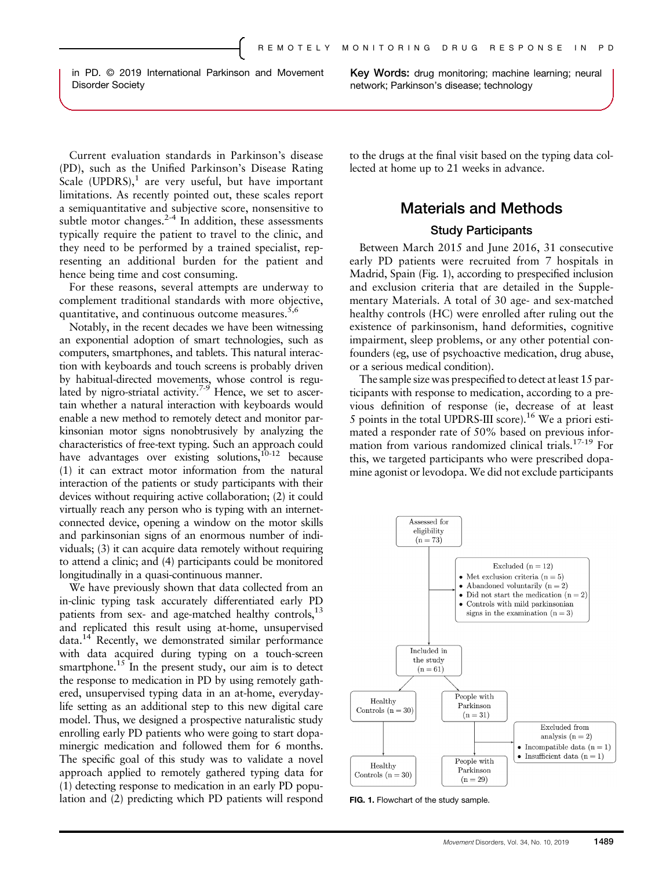in PD. © 2019 International Parkinson and Movement Disorder Society

Key Words: drug monitoring; machine learning; neural network; Parkinson's disease; technology

Current evaluation standards in Parkinson's disease (PD), such as the Unified Parkinson's Disease Rating Scale (UPDRS), $<sup>1</sup>$  are very useful, but have important</sup> limitations. As recently pointed out, these scales report a semiquantitative and subjective score, nonsensitive to subtle motor changes. $2-4$  In addition, these assessments typically require the patient to travel to the clinic, and they need to be performed by a trained specialist, representing an additional burden for the patient and hence being time and cost consuming.

For these reasons, several attempts are underway to complement traditional standards with more objective, quantitative, and continuous outcome measures. $5,6$ 

Notably, in the recent decades we have been witnessing an exponential adoption of smart technologies, such as computers, smartphones, and tablets. This natural interaction with keyboards and touch screens is probably driven by habitual-directed movements, whose control is regulated by nigro-striatal activity.<sup>7-9</sup> Hence, we set to ascertain whether a natural interaction with keyboards would enable a new method to remotely detect and monitor parkinsonian motor signs nonobtrusively by analyzing the characteristics of free-text typing. Such an approach could have advantages over existing solutions,<sup>10-12</sup> because (1) it can extract motor information from the natural interaction of the patients or study participants with their devices without requiring active collaboration; (2) it could virtually reach any person who is typing with an internetconnected device, opening a window on the motor skills and parkinsonian signs of an enormous number of individuals; (3) it can acquire data remotely without requiring to attend a clinic; and (4) participants could be monitored longitudinally in a quasi-continuous manner.

We have previously shown that data collected from an in-clinic typing task accurately differentiated early PD patients from sex- and age-matched healthy controls,<sup>13</sup> and replicated this result using at-home, unsupervised data.14 Recently, we demonstrated similar performance with data acquired during typing on a touch-screen smartphone.<sup>15</sup> In the present study, our aim is to detect the response to medication in PD by using remotely gathered, unsupervised typing data in an at-home, everydaylife setting as an additional step to this new digital care model. Thus, we designed a prospective naturalistic study enrolling early PD patients who were going to start dopaminergic medication and followed them for 6 months. The specific goal of this study was to validate a novel approach applied to remotely gathered typing data for (1) detecting response to medication in an early PD population and (2) predicting which PD patients will respond

to the drugs at the final visit based on the typing data collected at home up to 21 weeks in advance.

# Materials and Methods

### Study Participants

Between March 2015 and June 2016, 31 consecutive early PD patients were recruited from 7 hospitals in Madrid, Spain (Fig. 1), according to prespecified inclusion and exclusion criteria that are detailed in the Supplementary Materials. A total of 30 age- and sex-matched healthy controls (HC) were enrolled after ruling out the existence of parkinsonism, hand deformities, cognitive impairment, sleep problems, or any other potential confounders (eg, use of psychoactive medication, drug abuse, or a serious medical condition).

The sample size was prespecified to detect at least 15 participants with response to medication, according to a previous definition of response (ie, decrease of at least 5 points in the total UPDRS-III score).<sup>16</sup> We a priori estimated a responder rate of 50% based on previous information from various randomized clinical trials.17-19 For this, we targeted participants who were prescribed dopamine agonist or levodopa. We did not exclude participants



FIG. 1. Flowchart of the study sample.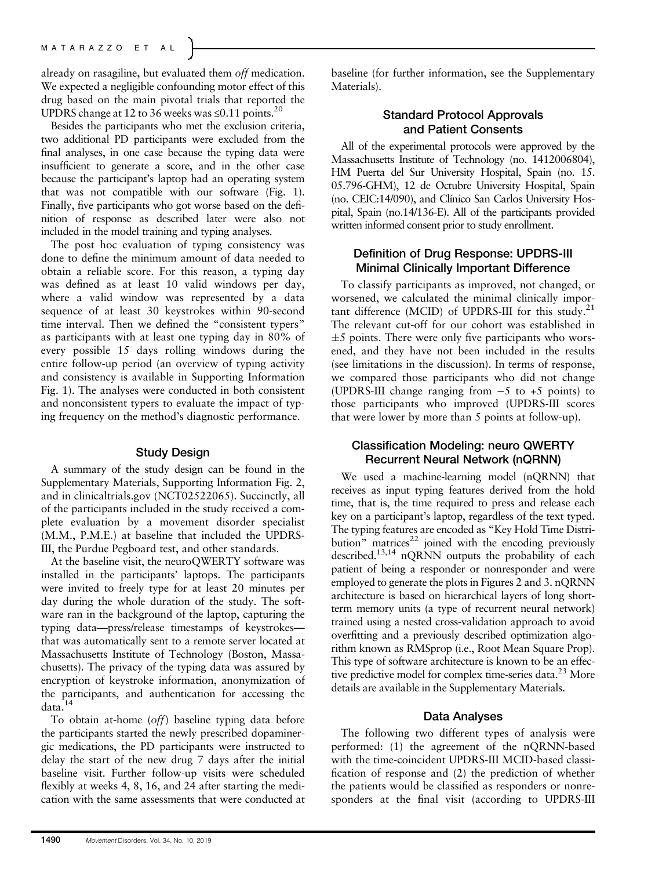already on rasagiline, but evaluated them off medication. We expected a negligible confounding motor effect of this drug based on the main pivotal trials that reported the UPDRS change at 12 to 36 weeks was  $\leq 0.11$  points.<sup>20</sup>

Besides the participants who met the exclusion criteria, two additional PD participants were excluded from the final analyses, in one case because the typing data were insufficient to generate a score, and in the other case because the participant's laptop had an operating system that was not compatible with our software (Fig. 1). Finally, five participants who got worse based on the definition of response as described later were also not included in the model training and typing analyses.

The post hoc evaluation of typing consistency was done to define the minimum amount of data needed to obtain a reliable score. For this reason, a typing day was defined as at least 10 valid windows per day, where a valid window was represented by a data sequence of at least 30 keystrokes within 90-second time interval. Then we defined the "consistent typers" as participants with at least one typing day in 80% of every possible 15 days rolling windows during the entire follow-up period (an overview of typing activity and consistency is available in Supporting Information Fig. 1). The analyses were conducted in both consistent and nonconsistent typers to evaluate the impact of typing frequency on the method's diagnostic performance.

#### Study Design

A summary of the study design can be found in the Supplementary Materials, Supporting Information Fig. 2, and in [clinicaltrials.gov](http://clinicaltrials.gov) [\(NCT02522065\)](https://clinicaltrials.gov/ct2/show/NCT02522065). Succinctly, all of the participants included in the study received a complete evaluation by a movement disorder specialist (M.M., P.M.E.) at baseline that included the UPDRS-III, the Purdue Pegboard test, and other standards.

At the baseline visit, the neuroQWERTY software was installed in the participants' laptops. The participants were invited to freely type for at least 20 minutes per day during the whole duration of the study. The software ran in the background of the laptop, capturing the typing data—press/release timestamps of keystrokes that was automatically sent to a remote server located at Massachusetts Institute of Technology (Boston, Massachusetts). The privacy of the typing data was assured by encryption of keystroke information, anonymization of the participants, and authentication for accessing the data.14

To obtain at-home (off) baseline typing data before the participants started the newly prescribed dopaminergic medications, the PD participants were instructed to delay the start of the new drug 7 days after the initial baseline visit. Further follow-up visits were scheduled flexibly at weeks 4, 8, 16, and 24 after starting the medication with the same assessments that were conducted at baseline (for further information, see the Supplementary Materials).

# Standard Protocol Approvals and Patient Consents

All of the experimental protocols were approved by the Massachusetts Institute of Technology (no. 1412006804), HM Puerta del Sur University Hospital, Spain (no. 15. 05.796-GHM), 12 de Octubre University Hospital, Spain (no. CEIC:14/090), and Clínico San Carlos University Hospital, Spain (no.14/136-E). All of the participants provided written informed consent prior to study enrollment.

#### Definition of Drug Response: UPDRS-III Minimal Clinically Important Difference

To classify participants as improved, not changed, or worsened, we calculated the minimal clinically important difference (MCID) of UPDRS-III for this study.<sup>21</sup> The relevant cut-off for our cohort was established in  $\pm$ 5 points. There were only five participants who worsened, and they have not been included in the results (see limitations in the discussion). In terms of response, we compared those participants who did not change (UPDRS-III change ranging from −5 to +5 points) to those participants who improved (UPDRS-III scores that were lower by more than 5 points at follow-up).

### Classification Modeling: neuro QWERTY Recurrent Neural Network (nQRNN)

We used a machine-learning model (nQRNN) that receives as input typing features derived from the hold time, that is, the time required to press and release each key on a participant's laptop, regardless of the text typed. The typing features are encoded as "Key Hold Time Distribution" matrices $22$  joined with the encoding previously described.<sup>13,14</sup> nQRNN outputs the probability of each patient of being a responder or nonresponder and were employed to generate the plots in Figures 2 and 3. nQRNN architecture is based on hierarchical layers of long shortterm memory units (a type of recurrent neural network) trained using a nested cross-validation approach to avoid overfitting and a previously described optimization algorithm known as RMSprop (i.e., Root Mean Square Prop). This type of software architecture is known to be an effective predictive model for complex time-series data.<sup>23</sup> More details are available in the Supplementary Materials.

#### Data Analyses

The following two different types of analysis were performed: (1) the agreement of the nQRNN-based with the time-coincident UPDRS-III MCID-based classification of response and (2) the prediction of whether the patients would be classified as responders or nonresponders at the final visit (according to UPDRS-III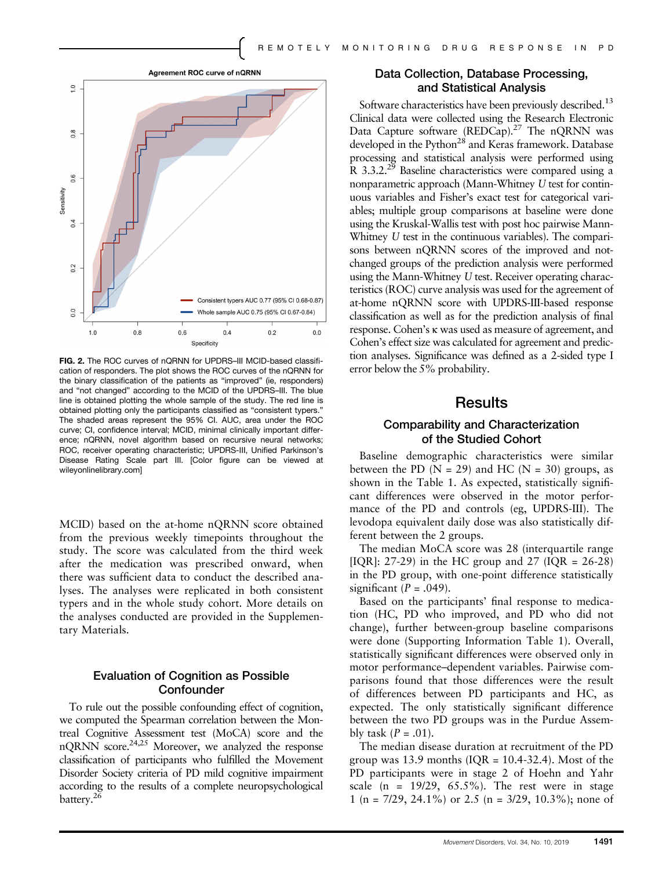

FIG. 2. The ROC curves of nQRNN for UPDRS–III MCID-based classification of responders. The plot shows the ROC curves of the nQRNN for the binary classification of the patients as "improved" (ie, responders) and "not changed" according to the MCID of the UPDRS–III. The blue line is obtained plotting the whole sample of the study. The red line is obtained plotting only the participants classified as "consistent typers." The shaded areas represent the 95% CI. AUC, area under the ROC curve; CI, confidence interval; MCID, minimal clinically important difference; nQRNN, novel algorithm based on recursive neural networks; ROC, receiver operating characteristic; UPDRS-III, Unified Parkinson's Disease Rating Scale part III. [Color figure can be viewed at [wileyonlinelibrary.com](http://wileyonlinelibrary.com)]

MCID) based on the at-home nQRNN score obtained from the previous weekly timepoints throughout the study. The score was calculated from the third week after the medication was prescribed onward, when there was sufficient data to conduct the described analyses. The analyses were replicated in both consistent typers and in the whole study cohort. More details on the analyses conducted are provided in the Supplementary Materials.

### Evaluation of Cognition as Possible **Confounder**

To rule out the possible confounding effect of cognition, we computed the Spearman correlation between the Montreal Cognitive Assessment test (MoCA) score and the  $nQRNN$  score.<sup>24,25</sup> Moreover, we analyzed the response classification of participants who fulfilled the Movement Disorder Society criteria of PD mild cognitive impairment according to the results of a complete neuropsychological battery.<sup>26</sup>

### Data Collection, Database Processing, and Statistical Analysis

Software characteristics have been previously described.<sup>13</sup> Clinical data were collected using the Research Electronic Data Capture software (REDCap).<sup>27</sup> The nQRNN was developed in the Python<sup>28</sup> and Keras framework. Database processing and statistical analysis were performed using R 3.3.2.<sup>29</sup> Baseline characteristics were compared using a nonparametric approach (Mann-Whitney U test for continuous variables and Fisher's exact test for categorical variables; multiple group comparisons at baseline were done using the Kruskal-Wallis test with post hoc pairwise Mann-Whitney U test in the continuous variables). The comparisons between nQRNN scores of the improved and notchanged groups of the prediction analysis were performed using the Mann-Whitney U test. Receiver operating characteristics (ROC) curve analysis was used for the agreement of at-home nQRNN score with UPDRS-III-based response classification as well as for the prediction analysis of final response. Cohen's κ was used as measure of agreement, and Cohen's effect size was calculated for agreement and prediction analyses. Significance was defined as a 2-sided type I error below the 5% probability.

# **Results**

# Comparability and Characterization of the Studied Cohort

Baseline demographic characteristics were similar between the PD ( $N = 29$ ) and HC ( $N = 30$ ) groups, as shown in the Table 1. As expected, statistically significant differences were observed in the motor performance of the PD and controls (eg, UPDRS-III). The levodopa equivalent daily dose was also statistically different between the 2 groups.

The median MoCA score was 28 (interquartile range [IQR]: 27-29) in the HC group and 27 (IQR =  $26-28$ ) in the PD group, with one-point difference statistically significant ( $P = .049$ ).

Based on the participants' final response to medication (HC, PD who improved, and PD who did not change), further between-group baseline comparisons were done (Supporting Information Table 1). Overall, statistically significant differences were observed only in motor performance–dependent variables. Pairwise comparisons found that those differences were the result of differences between PD participants and HC, as expected. The only statistically significant difference between the two PD groups was in the Purdue Assembly task  $(P=.01)$ .

The median disease duration at recruitment of the PD group was 13.9 months ( $IQR = 10.4-32.4$ ). Most of the PD participants were in stage 2 of Hoehn and Yahr scale (n =  $19/29$ ,  $65.5\%$ ). The rest were in stage 1 (n = 7/29, 24.1%) or 2.5 (n = 3/29, 10.3%); none of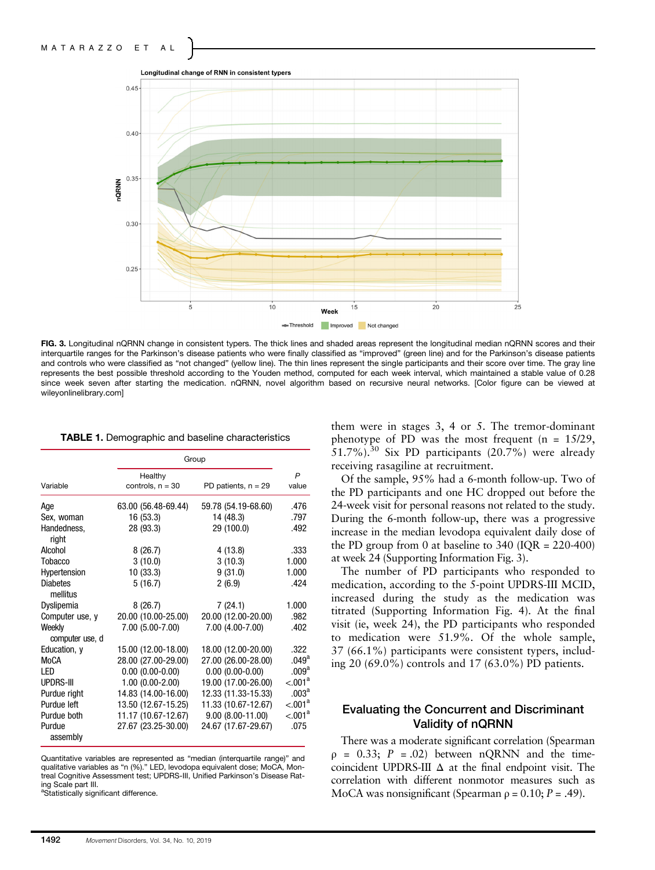

FIG. 3. Longitudinal nQRNN change in consistent typers. The thick lines and shaded areas represent the longitudinal median nQRNN scores and their interquartile ranges for the Parkinson's disease patients who were finally classified as "improved" (green line) and for the Parkinson's disease patients and controls who were classified as "not changed" (yellow line). The thin lines represent the single participants and their score over time. The gray line represents the best possible threshold according to the Youden method, computed for each week interval, which maintained a stable value of 0.28 since week seven after starting the medication. nQRNN, novel algorithm based on recursive neural networks. [Color figure can be viewed at [wileyonlinelibrary.com\]](http://wileyonlinelibrary.com)

| <b>TABLE 1.</b> Demographic and baseline characteristics |
|----------------------------------------------------------|
|----------------------------------------------------------|

|                             | Group               |                       |                     |
|-----------------------------|---------------------|-----------------------|---------------------|
|                             | Healthy             |                       | P                   |
| Variable                    | controls, $n = 30$  | PD patients, $n = 29$ | value               |
| Age                         | 63.00 (56.48-69.44) | 59.78 (54.19-68.60)   | .476                |
| Sex, woman                  | 16 (53.3)           | 14 (48.3)             | .797                |
| Handedness,<br>right        | 28 (93.3)           | 29 (100.0)            | .492                |
| Alcohol                     | 8(26.7)             | 4(13.8)               | .333                |
| <b>Tobacco</b>              | 3(10.0)             | 3(10.3)               | 1.000               |
| Hypertension                | 10(33.3)            | 9(31.0)               | 1.000               |
| <b>Diabetes</b><br>mellitus | 5(16.7)             | 2(6.9)                | .424                |
| Dyslipemia                  | 8(26.7)             | 7(24.1)               | 1.000               |
| Computer use, y             | 20.00 (10.00-25.00) | 20.00 (12.00-20.00)   | .982                |
| Weekly<br>computer use, d   | 7.00 (5.00-7.00)    | 7.00 (4.00-7.00)      | .402                |
| Education, y                | 15.00 (12.00-18.00) | 18.00 (12.00-20.00)   | .322                |
| MoCA                        | 28.00 (27.00-29.00) | 27.00 (26.00-28.00)   | $.049$ <sup>a</sup> |
| LED                         | $0.00(0.00-0.00)$   | $0.00(0.00-0.00)$     | .009 <sup>8</sup>   |
| <b>UPDRS-III</b>            | $1.00(0.00-2.00)$   | 19.00 (17.00-26.00)   | $< 001^\circ$       |
| Purdue right                | 14.83 (14.00-16.00) | 12.33 (11.33-15.33)   | .003 <sup>a</sup>   |
| Purdue left                 | 13.50 (12.67-15.25) | 11.33 (10.67-12.67)   | $< 001^\circ$       |
| Purdue both                 | 11.17 (10.67-12.67) | $9.00(8.00-11.00)$    | $< 001^\circ$       |
| Purdue<br>assembly          | 27.67 (23.25-30.00) | 24.67 (17.67-29.67)   | .075                |

Quantitative variables are represented as "median (interquartile range)" and qualitative variables as "n (%)." LED, levodopa equivalent dose; MoCA, Montreal Cognitive Assessment test; UPDRS-III, Unified Parkinson's Disease Rating Scale part III.

<sup>a</sup>Statistically significant difference.

them were in stages 3, 4 or 5. The tremor-dominant phenotype of PD was the most frequent  $(n = 15/29)$ ,  $51.7\%$ ).<sup>30</sup> Six PD participants (20.7%) were already receiving rasagiline at recruitment.

Of the sample, 95% had a 6-month follow-up. Two of the PD participants and one HC dropped out before the 24-week visit for personal reasons not related to the study. During the 6-month follow-up, there was a progressive increase in the median levodopa equivalent daily dose of the PD group from 0 at baseline to  $340$  (IQR =  $220-400$ ) at week 24 (Supporting Information Fig. 3).

The number of PD participants who responded to medication, according to the 5-point UPDRS-III MCID, increased during the study as the medication was titrated (Supporting Information Fig. 4). At the final visit (ie, week 24), the PD participants who responded to medication were 51.9%. Of the whole sample, 37 (66.1%) participants were consistent typers, including 20 (69.0%) controls and 17 (63.0%) PD patients.

# Evaluating the Concurrent and Discriminant Validity of nQRNN

There was a moderate significant correlation (Spearman  $\rho = 0.33$ ;  $P = 0.02$ ) between nQRNN and the timecoincident UPDRS-III  $\Delta$  at the final endpoint visit. The correlation with different nonmotor measures such as MoCA was nonsignificant (Spearman  $\rho = 0.10$ ;  $P = .49$ ).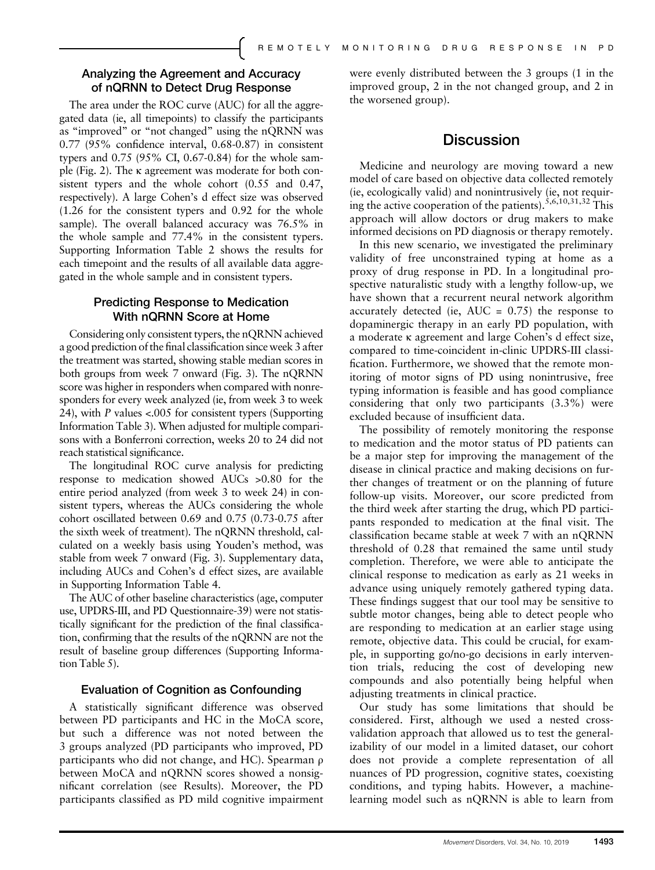# Analyzing the Agreement and Accuracy of nQRNN to Detect Drug Response

The area under the ROC curve (AUC) for all the aggregated data (ie, all timepoints) to classify the participants as "improved" or "not changed" using the nQRNN was 0.77 (95% confidence interval, 0.68-0.87) in consistent typers and 0.75 (95% CI, 0.67-0.84) for the whole sample (Fig. 2). The κ agreement was moderate for both consistent typers and the whole cohort (0.55 and 0.47, respectively). A large Cohen's d effect size was observed (1.26 for the consistent typers and 0.92 for the whole sample). The overall balanced accuracy was 76.5% in the whole sample and 77.4% in the consistent typers. Supporting Information Table 2 shows the results for each timepoint and the results of all available data aggregated in the whole sample and in consistent typers.

# Predicting Response to Medication With nQRNN Score at Home

Considering only consistent typers, the nQRNN achieved a good prediction of the final classification since week 3 after the treatment was started, showing stable median scores in both groups from week 7 onward (Fig. 3). The nQRNN score was higher in responders when compared with nonresponders for every week analyzed (ie, from week 3 to week 24), with P values <.005 for consistent typers (Supporting Information Table 3). When adjusted for multiple comparisons with a Bonferroni correction, weeks 20 to 24 did not reach statistical significance.

The longitudinal ROC curve analysis for predicting response to medication showed AUCs >0.80 for the entire period analyzed (from week 3 to week 24) in consistent typers, whereas the AUCs considering the whole cohort oscillated between 0.69 and 0.75 (0.73-0.75 after the sixth week of treatment). The nQRNN threshold, calculated on a weekly basis using Youden's method, was stable from week 7 onward (Fig. 3). Supplementary data, including AUCs and Cohen's d effect sizes, are available in Supporting Information Table 4.

The AUC of other baseline characteristics (age, computer use, UPDRS-III, and PD Questionnaire-39) were not statistically significant for the prediction of the final classification, confirming that the results of the nQRNN are not the result of baseline group differences (Supporting Information Table 5).

# Evaluation of Cognition as Confounding

A statistically significant difference was observed between PD participants and HC in the MoCA score, but such a difference was not noted between the 3 groups analyzed (PD participants who improved, PD participants who did not change, and HC). Spearman ρ between MoCA and nQRNN scores showed a nonsignificant correlation (see Results). Moreover, the PD participants classified as PD mild cognitive impairment were evenly distributed between the 3 groups (1 in the improved group, 2 in the not changed group, and 2 in the worsened group).

# **Discussion**

Medicine and neurology are moving toward a new model of care based on objective data collected remotely (ie, ecologically valid) and nonintrusively (ie, not requiring the active cooperation of the patients).<sup>5,6,10,31,32</sup> This approach will allow doctors or drug makers to make informed decisions on PD diagnosis or therapy remotely.

In this new scenario, we investigated the preliminary validity of free unconstrained typing at home as a proxy of drug response in PD. In a longitudinal prospective naturalistic study with a lengthy follow-up, we have shown that a recurrent neural network algorithm accurately detected (ie, AUC =  $0.75$ ) the response to dopaminergic therapy in an early PD population, with a moderate κ agreement and large Cohen's d effect size, compared to time-coincident in-clinic UPDRS-III classification. Furthermore, we showed that the remote monitoring of motor signs of PD using nonintrusive, free typing information is feasible and has good compliance considering that only two participants (3.3%) were excluded because of insufficient data.

The possibility of remotely monitoring the response to medication and the motor status of PD patients can be a major step for improving the management of the disease in clinical practice and making decisions on further changes of treatment or on the planning of future follow-up visits. Moreover, our score predicted from the third week after starting the drug, which PD participants responded to medication at the final visit. The classification became stable at week 7 with an nQRNN threshold of 0.28 that remained the same until study completion. Therefore, we were able to anticipate the clinical response to medication as early as 21 weeks in advance using uniquely remotely gathered typing data. These findings suggest that our tool may be sensitive to subtle motor changes, being able to detect people who are responding to medication at an earlier stage using remote, objective data. This could be crucial, for example, in supporting go/no-go decisions in early intervention trials, reducing the cost of developing new compounds and also potentially being helpful when adjusting treatments in clinical practice.

Our study has some limitations that should be considered. First, although we used a nested crossvalidation approach that allowed us to test the generalizability of our model in a limited dataset, our cohort does not provide a complete representation of all nuances of PD progression, cognitive states, coexisting conditions, and typing habits. However, a machinelearning model such as nQRNN is able to learn from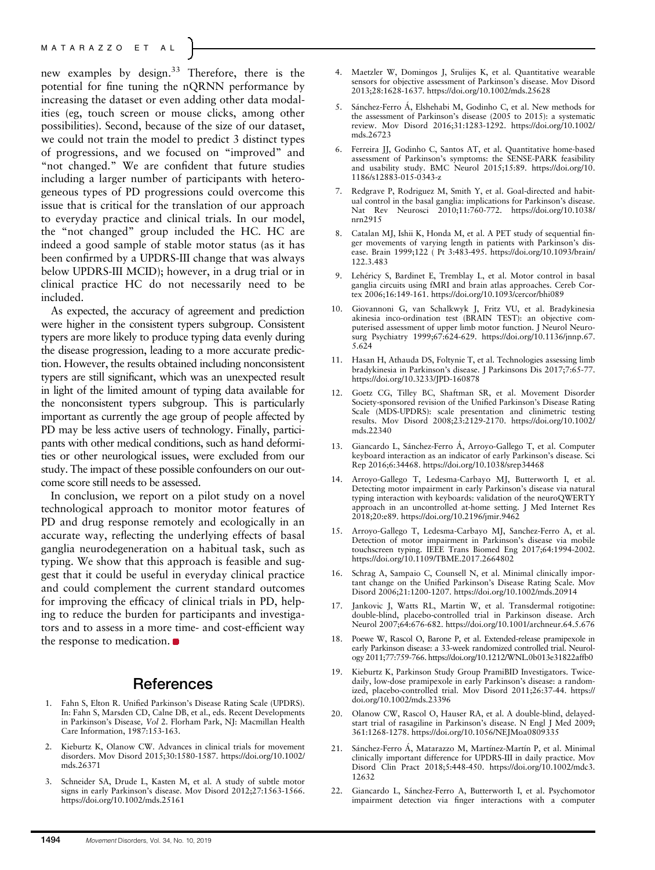### MATARAZZO ET AL

new examples by design.<sup>33</sup> Therefore, there is the potential for fine tuning the nQRNN performance by increasing the dataset or even adding other data modalities (eg, touch screen or mouse clicks, among other possibilities). Second, because of the size of our dataset, we could not train the model to predict 3 distinct types of progressions, and we focused on "improved" and "not changed." We are confident that future studies including a larger number of participants with heterogeneous types of PD progressions could overcome this issue that is critical for the translation of our approach to everyday practice and clinical trials. In our model, the "not changed" group included the HC. HC are indeed a good sample of stable motor status (as it has been confirmed by a UPDRS-III change that was always below UPDRS-III MCID); however, in a drug trial or in clinical practice HC do not necessarily need to be included.

As expected, the accuracy of agreement and prediction were higher in the consistent typers subgroup. Consistent typers are more likely to produce typing data evenly during the disease progression, leading to a more accurate prediction. However, the results obtained including nonconsistent typers are still significant, which was an unexpected result in light of the limited amount of typing data available for the nonconsistent typers subgroup. This is particularly important as currently the age group of people affected by PD may be less active users of technology. Finally, participants with other medical conditions, such as hand deformities or other neurological issues, were excluded from our study. The impact of these possible confounders on our outcome score still needs to be assessed.

In conclusion, we report on a pilot study on a novel technological approach to monitor motor features of PD and drug response remotely and ecologically in an accurate way, reflecting the underlying effects of basal ganglia neurodegeneration on a habitual task, such as typing. We show that this approach is feasible and suggest that it could be useful in everyday clinical practice and could complement the current standard outcomes for improving the efficacy of clinical trials in PD, helping to reduce the burden for participants and investigators and to assess in a more time- and cost-efficient way the response to medication.

# **References**

- 1. Fahn S, Elton R. Unified Parkinson's Disease Rating Scale (UPDRS). In: Fahn S, Marsden CD, Calne DB, et al., eds. Recent Developments in Parkinson's Disease, Vol 2. Florham Park, NJ: Macmillan Health Care Information, 1987:153-163.
- 2. Kieburtz K, Olanow CW. Advances in clinical trials for movement disorders. Mov Disord 2015;30:1580-1587. [https://doi.org/10.1002/](https://doi.org/10.1002/mds.26371) [mds.26371](https://doi.org/10.1002/mds.26371)
- 3. Schneider SA, Drude L, Kasten M, et al. A study of subtle motor signs in early Parkinson's disease. Mov Disord 2012;27:1563-1566. <https://doi.org/10.1002/mds.25161>
- 4. Maetzler W, Domingos J, Srulijes K, et al. Quantitative wearable sensors for objective assessment of Parkinson's disease. Mov Disord 2013;28:1628-1637.<https://doi.org/10.1002/mds.25628>
- 5. Sánchez-Ferro Á, Elshehabi M, Godinho C, et al. New methods for the assessment of Parkinson's disease (2005 to 2015): a systematic review. Mov Disord 2016;31:1283-1292. [https://doi.org/10.1002/](https://doi.org/10.1002/mds.26723) [mds.26723](https://doi.org/10.1002/mds.26723)
- 6. Ferreira JJ, Godinho C, Santos AT, et al. Quantitative home-based assessment of Parkinson's symptoms: the SENSE-PARK feasibility and usability study. BMC Neurol 2015;15:89. [https://doi.org/10.](https://doi.org/10.1186/s12883-015-0343-z) [1186/s12883-015-0343-z](https://doi.org/10.1186/s12883-015-0343-z)
- 7. Redgrave P, Rodriguez M, Smith Y, et al. Goal-directed and habitual control in the basal ganglia: implications for Parkinson's disease. Nat Rev Neurosci 2010;11:760-772. [https://doi.org/10.1038/](https://doi.org/10.1038/nrn2915) [nrn2915](https://doi.org/10.1038/nrn2915)
- 8. Catalan MJ, Ishii K, Honda M, et al. A PET study of sequential finger movements of varying length in patients with Parkinson's disease. Brain 1999;122 ( Pt 3:483-495. [https://doi.org/10.1093/brain/](https://doi.org/10.1093/brain/122.3.483) [122.3.483](https://doi.org/10.1093/brain/122.3.483)
- 9. Lehéricy S, Bardinet E, Tremblay L, et al. Motor control in basal ganglia circuits using fMRI and brain atlas approaches. Cereb Cortex 2006;16:149-161.<https://doi.org/10.1093/cercor/bhi089>
- 10. Giovannoni G, van Schalkwyk J, Fritz VU, et al. Bradykinesia akinesia inco-ordination test (BRAIN TEST): an objective computerised assessment of upper limb motor function. J Neurol Neurosurg Psychiatry 1999;67:624-629. [https://doi.org/10.1136/jnnp.67.](https://doi.org/10.1136/jnnp.67.5.624) [5.624](https://doi.org/10.1136/jnnp.67.5.624)
- 11. Hasan H, Athauda DS, Foltynie T, et al. Technologies assessing limb bradykinesia in Parkinson's disease. J Parkinsons Dis 2017;7:65-77. <https://doi.org/10.3233/JPD-160878>
- 12. Goetz CG, Tilley BC, Shaftman SR, et al. Movement Disorder Society-sponsored revision of the Unified Parkinson's Disease Rating Scale (MDS-UPDRS): scale presentation and clinimetric testing results. Mov Disord 2008;23:2129-2170. [https://doi.org/10.1002/](https://doi.org/10.1002/mds.22340) [mds.22340](https://doi.org/10.1002/mds.22340)
- 13. Giancardo L, Sánchez-Ferro A, Arroyo-Gallego T, et al. Computer keyboard interaction as an indicator of early Parkinson's disease. Sci Rep 2016;6:34468.<https://doi.org/10.1038/srep34468>
- 14. Arroyo-Gallego T, Ledesma-Carbayo MJ, Butterworth I, et al. Detecting motor impairment in early Parkinson's disease via natural typing interaction with keyboards: validation of the neuroQWERTY approach in an uncontrolled at-home setting. J Med Internet Res 2018;20:e89.<https://doi.org/10.2196/jmir.9462>
- 15. Arroyo-Gallego T, Ledesma-Carbayo MJ, Sanchez-Ferro A, et al. Detection of motor impairment in Parkinson's disease via mobile touchscreen typing. IEEE Trans Biomed Eng 2017;64:1994-2002. <https://doi.org/10.1109/TBME.2017.2664802>
- 16. Schrag A, Sampaio C, Counsell N, et al. Minimal clinically important change on the Unified Parkinson's Disease Rating Scale. Mov Disord 2006;21:1200-1207.<https://doi.org/10.1002/mds.20914>
- 17. Jankovic J, Watts RL, Martin W, et al. Transdermal rotigotine: double-blind, placebo-controlled trial in Parkinson disease. Arch Neurol 2007;64:676-682.<https://doi.org/10.1001/archneur.64.5.676>
- 18. Poewe W, Rascol O, Barone P, et al. Extended-release pramipexole in early Parkinson disease: a 33-week randomized controlled trial. Neurology 2011;77:759-766.<https://doi.org/10.1212/WNL.0b013e31822affb0>
- 19. Kieburtz K, Parkinson Study Group PramiBID Investigators. Twicedaily, low-dose pramipexole in early Parkinson's disease: a randomized, placebo-controlled trial. Mov Disord 2011;26:37-44. [https://](https://doi.org/10.1002/mds.23396) [doi.org/10.1002/mds.23396](https://doi.org/10.1002/mds.23396)
- 20. Olanow CW, Rascol O, Hauser RA, et al. A double-blind, delayedstart trial of rasagiline in Parkinson's disease. N Engl J Med 2009; 361:1268-1278.<https://doi.org/10.1056/NEJMoa0809335>
- 21. Sánchez-Ferro A, Matarazzo M, Martínez-Martín P, et al. Minimal clinically important difference for UPDRS-III in daily practice. Mov Disord Clin Pract 2018;5:448-450. [https://doi.org/10.1002/mdc3.](https://doi.org/10.1002/mdc3.12632) [12632](https://doi.org/10.1002/mdc3.12632)
- 22. Giancardo L, Sánchez-Ferro A, Butterworth I, et al. Psychomotor impairment detection via finger interactions with a computer